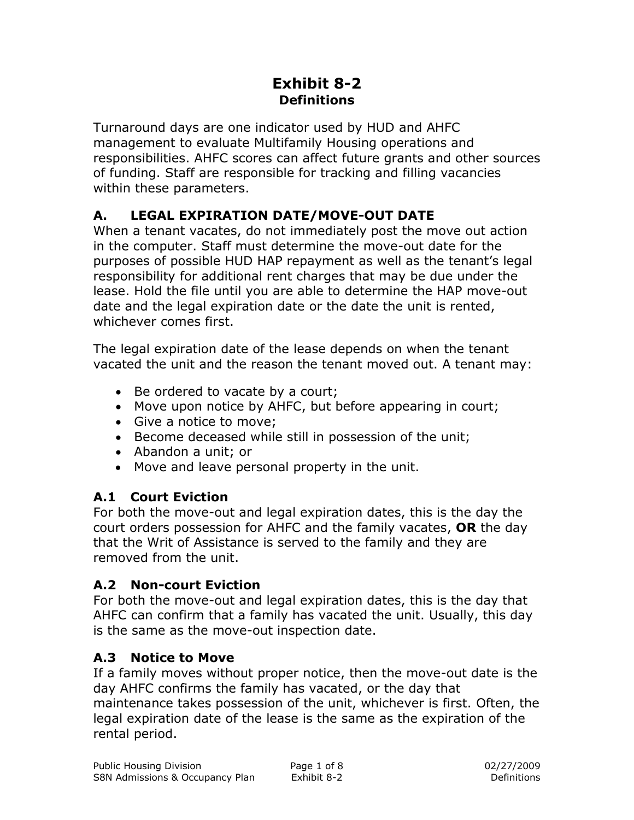### **Exhibit 8-2 Definitions**

Turnaround days are one indicator used by HUD and AHFC management to evaluate Multifamily Housing operations and responsibilities. AHFC scores can affect future grants and other sources of funding. Staff are responsible for tracking and filling vacancies within these parameters.

# **A. LEGAL EXPIRATION DATE/MOVE-OUT DATE**

When a tenant vacates, do not immediately post the move out action in the computer. Staff must determine the move-out date for the purposes of possible HUD HAP repayment as well as the tenant's legal responsibility for additional rent charges that may be due under the lease. Hold the file until you are able to determine the HAP move-out date and the legal expiration date or the date the unit is rented, whichever comes first.

The legal expiration date of the lease depends on when the tenant vacated the unit and the reason the tenant moved out. A tenant may:

- Be ordered to vacate by a court;
- Move upon notice by AHFC, but before appearing in court;
- Give a notice to move;
- Become deceased while still in possession of the unit;
- Abandon a unit; or
- Move and leave personal property in the unit.

### **A.1 Court Eviction**

For both the move-out and legal expiration dates, this is the day the court orders possession for AHFC and the family vacates, **OR** the day that the Writ of Assistance is served to the family and they are removed from the unit.

### **A.2 Non-court Eviction**

For both the move-out and legal expiration dates, this is the day that AHFC can confirm that a family has vacated the unit. Usually, this day is the same as the move-out inspection date.

### **A.3 Notice to Move**

If a family moves without proper notice, then the move-out date is the day AHFC confirms the family has vacated, or the day that maintenance takes possession of the unit, whichever is first. Often, the legal expiration date of the lease is the same as the expiration of the rental period.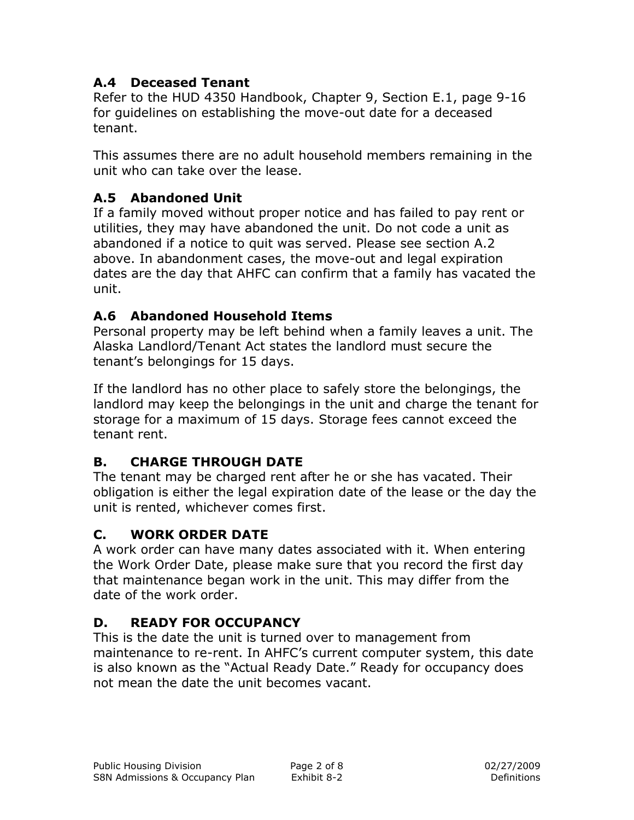### **A.4 Deceased Tenant**

Refer to the HUD 4350 Handbook, Chapter 9, Section E.1, page 9-16 for guidelines on establishing the move-out date for a deceased tenant.

This assumes there are no adult household members remaining in the unit who can take over the lease.

### **A.5 Abandoned Unit**

If a family moved without proper notice and has failed to pay rent or utilities, they may have abandoned the unit. Do not code a unit as abandoned if a notice to quit was served. Please see section A.2 above. In abandonment cases, the move-out and legal expiration dates are the day that AHFC can confirm that a family has vacated the unit.

### **A.6 Abandoned Household Items**

Personal property may be left behind when a family leaves a unit. The Alaska Landlord/Tenant Act states the landlord must secure the tenant's belongings for 15 days.

If the landlord has no other place to safely store the belongings, the landlord may keep the belongings in the unit and charge the tenant for storage for a maximum of 15 days. Storage fees cannot exceed the tenant rent.

# **B. CHARGE THROUGH DATE**

The tenant may be charged rent after he or she has vacated. Their obligation is either the legal expiration date of the lease or the day the unit is rented, whichever comes first.

# **C. WORK ORDER DATE**

A work order can have many dates associated with it. When entering the Work Order Date, please make sure that you record the first day that maintenance began work in the unit. This may differ from the date of the work order.

### **D. READY FOR OCCUPANCY**

This is the date the unit is turned over to management from maintenance to re-rent. In AHFC's current computer system, this date is also known as the "Actual Ready Date." Ready for occupancy does not mean the date the unit becomes vacant.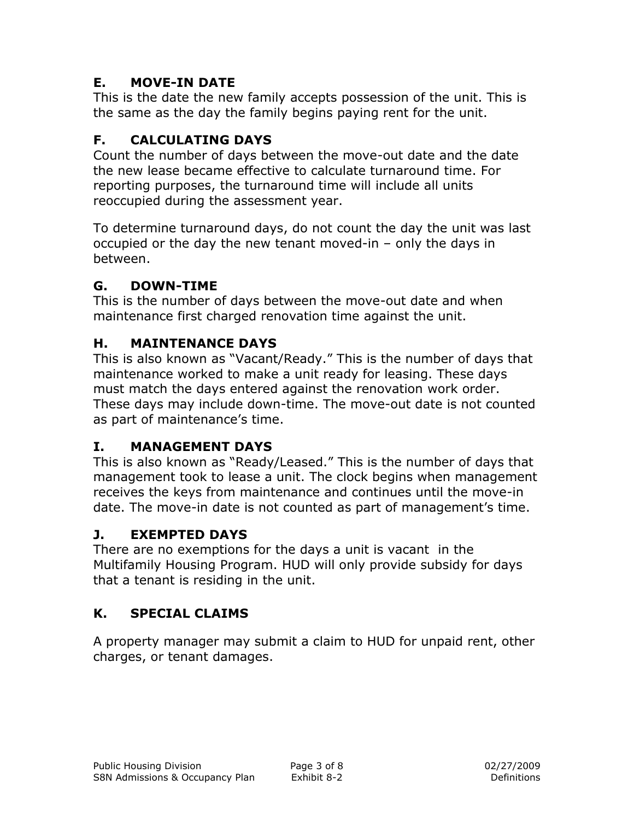### **E. MOVE-IN DATE**

This is the date the new family accepts possession of the unit. This is the same as the day the family begins paying rent for the unit.

## **F. CALCULATING DAYS**

Count the number of days between the move-out date and the date the new lease became effective to calculate turnaround time. For reporting purposes, the turnaround time will include all units reoccupied during the assessment year.

To determine turnaround days, do not count the day the unit was last occupied or the day the new tenant moved-in – only the days in between.

### **G. DOWN-TIME**

This is the number of days between the move-out date and when maintenance first charged renovation time against the unit.

### **H. MAINTENANCE DAYS**

This is also known as "Vacant/Ready." This is the number of days that maintenance worked to make a unit ready for leasing. These days must match the days entered against the renovation work order. These days may include down-time. The move-out date is not counted as part of maintenance's time.

#### **I. MANAGEMENT DAYS**

This is also known as "Ready/Leased." This is the number of days that management took to lease a unit. The clock begins when management receives the keys from maintenance and continues until the move-in date. The move-in date is not counted as part of management's time.

#### **J. EXEMPTED DAYS**

There are no exemptions for the days a unit is vacant in the Multifamily Housing Program. HUD will only provide subsidy for days that a tenant is residing in the unit.

### **K. SPECIAL CLAIMS**

A property manager may submit a claim to HUD for unpaid rent, other charges, or tenant damages.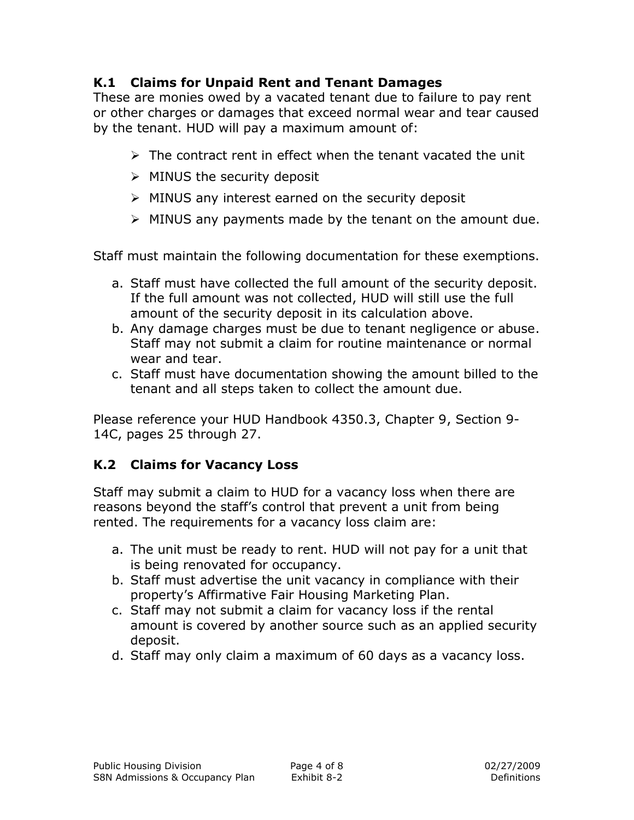#### **K.1 Claims for Unpaid Rent and Tenant Damages**

These are monies owed by a vacated tenant due to failure to pay rent or other charges or damages that exceed normal wear and tear caused by the tenant. HUD will pay a maximum amount of:

- $\triangleright$  The contract rent in effect when the tenant vacated the unit
- $\triangleright$  MINUS the security deposit
- $\triangleright$  MINUS any interest earned on the security deposit
- $\triangleright$  MINUS any payments made by the tenant on the amount due.

Staff must maintain the following documentation for these exemptions.

- a. Staff must have collected the full amount of the security deposit. If the full amount was not collected, HUD will still use the full amount of the security deposit in its calculation above.
- b. Any damage charges must be due to tenant negligence or abuse. Staff may not submit a claim for routine maintenance or normal wear and tear.
- c. Staff must have documentation showing the amount billed to the tenant and all steps taken to collect the amount due.

Please reference your HUD Handbook 4350.3, Chapter 9, Section 9- 14C, pages 25 through 27.

### **K.2 Claims for Vacancy Loss**

Staff may submit a claim to HUD for a vacancy loss when there are reasons beyond the staff's control that prevent a unit from being rented. The requirements for a vacancy loss claim are:

- a. The unit must be ready to rent. HUD will not pay for a unit that is being renovated for occupancy.
- b. Staff must advertise the unit vacancy in compliance with their property's Affirmative Fair Housing Marketing Plan.
- c. Staff may not submit a claim for vacancy loss if the rental amount is covered by another source such as an applied security deposit.
- d. Staff may only claim a maximum of 60 days as a vacancy loss.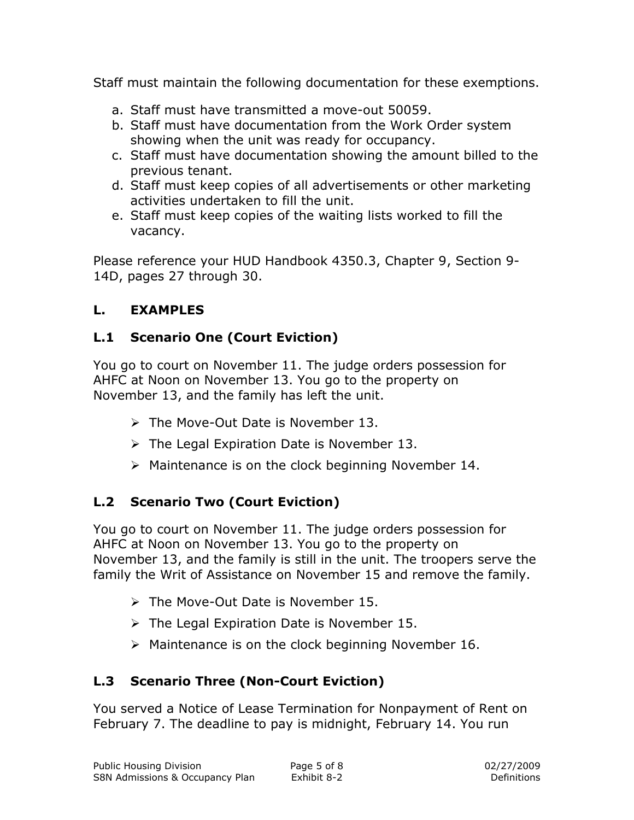Staff must maintain the following documentation for these exemptions.

- a. Staff must have transmitted a move-out 50059.
- b. Staff must have documentation from the Work Order system showing when the unit was ready for occupancy.
- c. Staff must have documentation showing the amount billed to the previous tenant.
- d. Staff must keep copies of all advertisements or other marketing activities undertaken to fill the unit.
- e. Staff must keep copies of the waiting lists worked to fill the vacancy.

Please reference your HUD Handbook 4350.3, Chapter 9, Section 9- 14D, pages 27 through 30.

### **L. EXAMPLES**

### **L.1 Scenario One (Court Eviction)**

You go to court on November 11. The judge orders possession for AHFC at Noon on November 13. You go to the property on November 13, and the family has left the unit.

- $\triangleright$  The Move-Out Date is November 13.
- $\triangleright$  The Legal Expiration Date is November 13.
- $\triangleright$  Maintenance is on the clock beginning November 14.

# **L.2 Scenario Two (Court Eviction)**

You go to court on November 11. The judge orders possession for AHFC at Noon on November 13. You go to the property on November 13, and the family is still in the unit. The troopers serve the family the Writ of Assistance on November 15 and remove the family.

- $\triangleright$  The Move-Out Date is November 15.
- $\triangleright$  The Legal Expiration Date is November 15.
- $\triangleright$  Maintenance is on the clock beginning November 16.

# **L.3 Scenario Three (Non-Court Eviction)**

You served a Notice of Lease Termination for Nonpayment of Rent on February 7. The deadline to pay is midnight, February 14. You run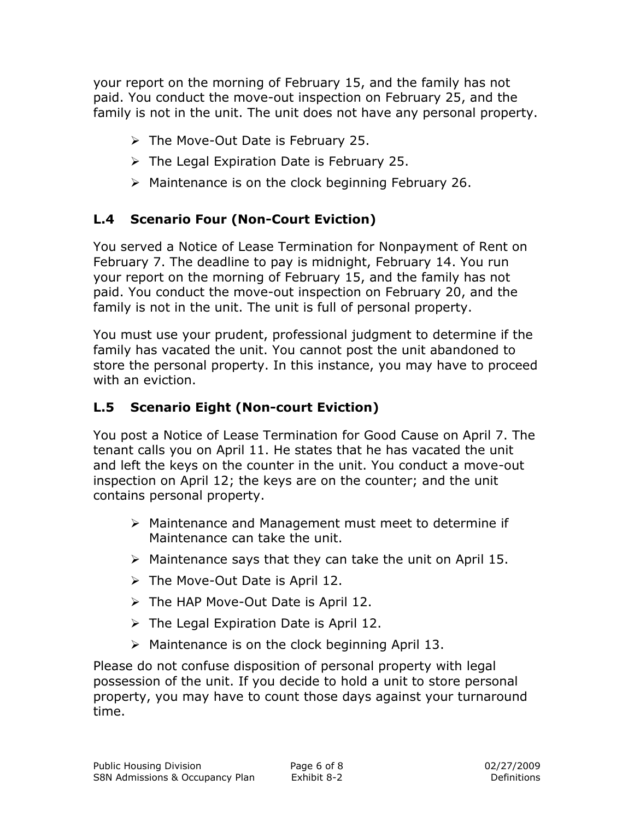your report on the morning of February 15, and the family has not paid. You conduct the move-out inspection on February 25, and the family is not in the unit. The unit does not have any personal property.

- $\triangleright$  The Move-Out Date is February 25.
- $\triangleright$  The Legal Expiration Date is February 25.
- $\triangleright$  Maintenance is on the clock beginning February 26.

### **L.4 Scenario Four (Non-Court Eviction)**

You served a Notice of Lease Termination for Nonpayment of Rent on February 7. The deadline to pay is midnight, February 14. You run your report on the morning of February 15, and the family has not paid. You conduct the move-out inspection on February 20, and the family is not in the unit. The unit is full of personal property.

You must use your prudent, professional judgment to determine if the family has vacated the unit. You cannot post the unit abandoned to store the personal property. In this instance, you may have to proceed with an eviction.

### **L.5 Scenario Eight (Non-court Eviction)**

You post a Notice of Lease Termination for Good Cause on April 7. The tenant calls you on April 11. He states that he has vacated the unit and left the keys on the counter in the unit. You conduct a move-out inspection on April 12; the keys are on the counter; and the unit contains personal property.

- Maintenance and Management must meet to determine if Maintenance can take the unit.
- $\triangleright$  Maintenance says that they can take the unit on April 15.
- $\triangleright$  The Move-Out Date is April 12.
- $\triangleright$  The HAP Move-Out Date is April 12.
- $\triangleright$  The Legal Expiration Date is April 12.
- $\triangleright$  Maintenance is on the clock beginning April 13.

Please do not confuse disposition of personal property with legal possession of the unit. If you decide to hold a unit to store personal property, you may have to count those days against your turnaround time.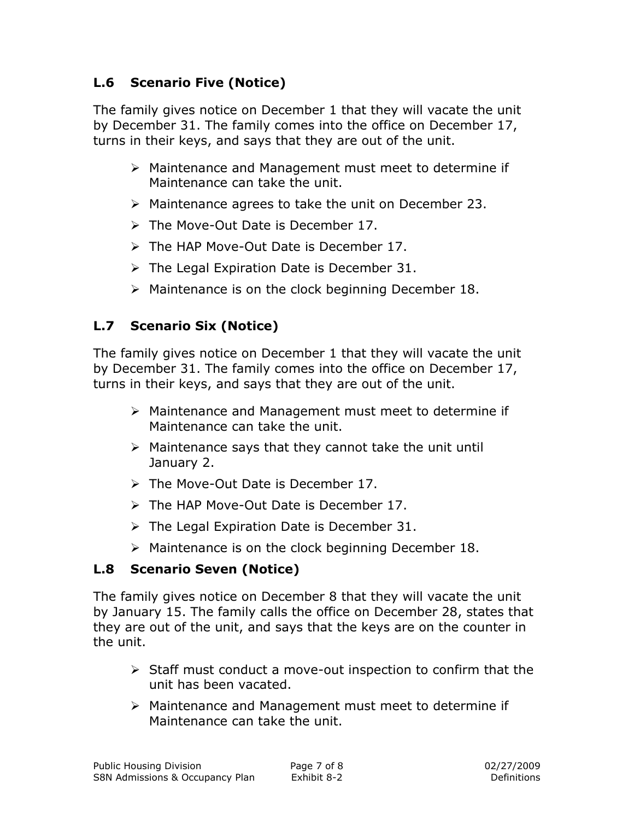#### **L.6 Scenario Five (Notice)**

The family gives notice on December 1 that they will vacate the unit by December 31. The family comes into the office on December 17, turns in their keys, and says that they are out of the unit.

- Maintenance and Management must meet to determine if Maintenance can take the unit.
- $\triangleright$  Maintenance agrees to take the unit on December 23.
- $\triangleright$  The Move-Out Date is December 17.
- The HAP Move-Out Date is December 17.
- $\triangleright$  The Legal Expiration Date is December 31.
- $\triangleright$  Maintenance is on the clock beginning December 18.

### **L.7 Scenario Six (Notice)**

The family gives notice on December 1 that they will vacate the unit by December 31. The family comes into the office on December 17, turns in their keys, and says that they are out of the unit.

- Maintenance and Management must meet to determine if Maintenance can take the unit.
- $\triangleright$  Maintenance says that they cannot take the unit until January 2.
- $\triangleright$  The Move-Out Date is December 17.
- $\triangleright$  The HAP Move-Out Date is December 17.
- $\triangleright$  The Legal Expiration Date is December 31.
- $\triangleright$  Maintenance is on the clock beginning December 18.

### **L.8 Scenario Seven (Notice)**

The family gives notice on December 8 that they will vacate the unit by January 15. The family calls the office on December 28, states that they are out of the unit, and says that the keys are on the counter in the unit.

- $\triangleright$  Staff must conduct a move-out inspection to confirm that the unit has been vacated.
- Maintenance and Management must meet to determine if Maintenance can take the unit.